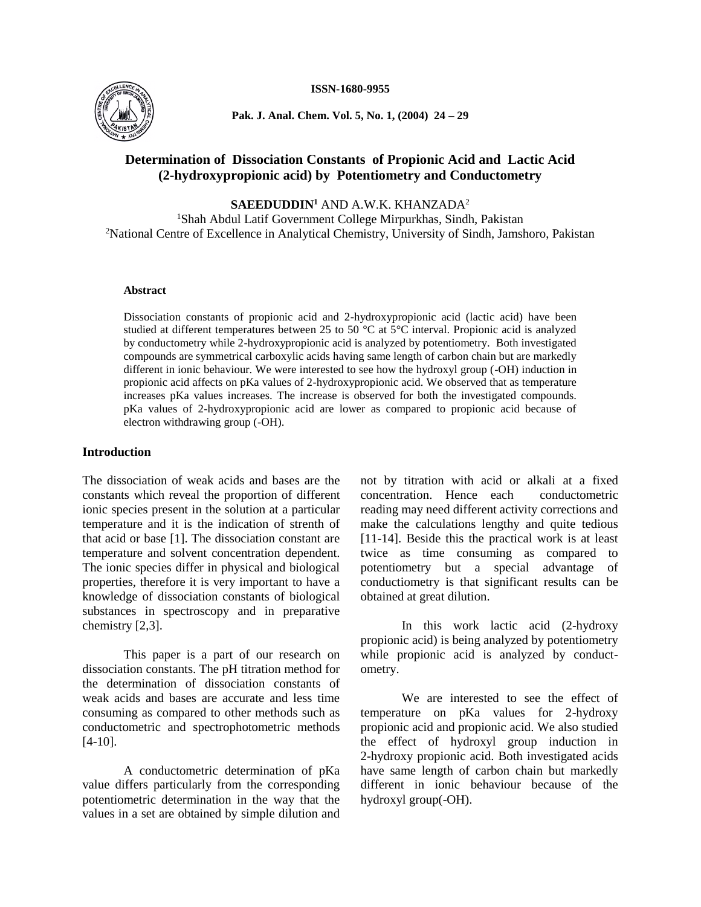

**Pak. J. Anal. Chem. Vol. 5, No. 1, (2004) 24 – 29**

# **Determination of Dissociation Constants of Propionic Acid and Lactic Acid (2-hydroxypropionic acid) by Potentiometry and Conductometry**

**SAEEDUDDIN<sup>1</sup>** AND A.W.K. KHANZADA<sup>2</sup>

<sup>1</sup>Shah Abdul Latif Government College Mirpurkhas, Sindh, Pakistan <sup>2</sup>National Centre of Excellence in Analytical Chemistry, University of Sindh, Jamshoro, Pakistan

#### **Abstract**

Dissociation constants of propionic acid and 2-hydroxypropionic acid (lactic acid) have been studied at different temperatures between 25 to 50  $^{\circ}$ C at 5 $^{\circ}$ C interval. Propionic acid is analyzed by conductometry while 2-hydroxypropionic acid is analyzed by potentiometry. Both investigated compounds are symmetrical carboxylic acids having same length of carbon chain but are markedly different in ionic behaviour. We were interested to see how the hydroxyl group (-OH) induction in propionic acid affects on pKa values of 2-hydroxypropionic acid. We observed that as temperature increases pKa values increases. The increase is observed for both the investigated compounds. pKa values of 2-hydroxypropionic acid are lower as compared to propionic acid because of electron withdrawing group (-OH).

## **Introduction**

The dissociation of weak acids and bases are the constants which reveal the proportion of different ionic species present in the solution at a particular temperature and it is the indication of strenth of that acid or base [1]. The dissociation constant are temperature and solvent concentration dependent. The ionic species differ in physical and biological properties, therefore it is very important to have a knowledge of dissociation constants of biological substances in spectroscopy and in preparative chemistry [2,3].

This paper is a part of our research on dissociation constants. The pH titration method for the determination of dissociation constants of weak acids and bases are accurate and less time consuming as compared to other methods such as conductometric and spectrophotometric methods [4-10].

A conductometric determination of pKa value differs particularly from the corresponding potentiometric determination in the way that the values in a set are obtained by simple dilution and

not by titration with acid or alkali at a fixed concentration. Hence each conductometric reading may need different activity corrections and make the calculations lengthy and quite tedious [11-14]. Beside this the practical work is at least twice as time consuming as compared to potentiometry but a special advantage of conductiometry is that significant results can be obtained at great dilution.

In this work lactic acid (2-hydroxy propionic acid) is being analyzed by potentiometry while propionic acid is analyzed by conductometry.

We are interested to see the effect of temperature on pKa values for 2-hydroxy propionic acid and propionic acid. We also studied the effect of hydroxyl group induction in 2-hydroxy propionic acid. Both investigated acids have same length of carbon chain but markedly different in ionic behaviour because of the hydroxyl group(-OH).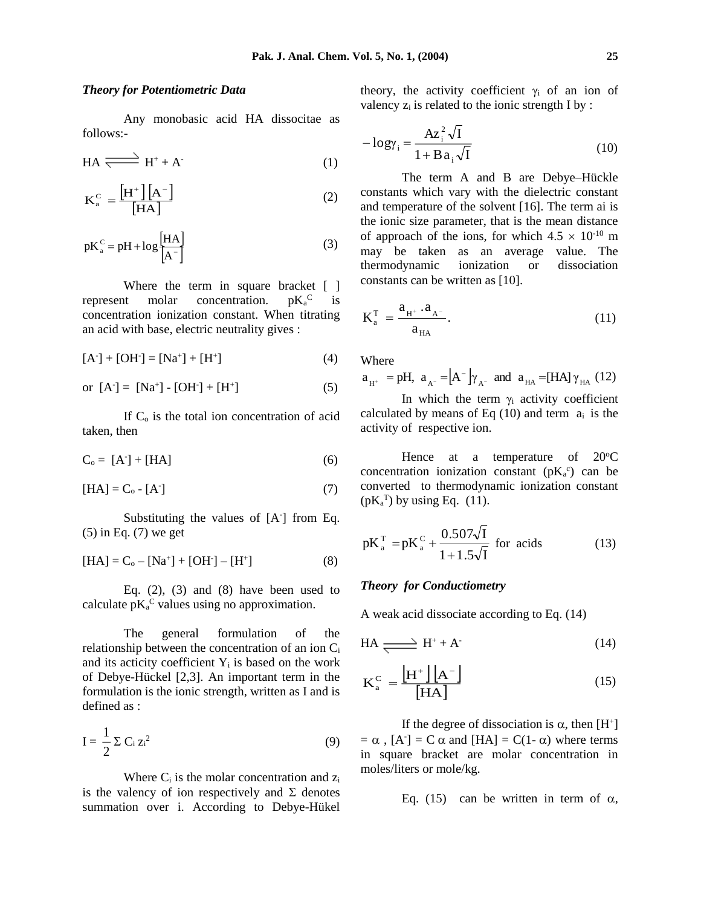## *Theory for Potentiometric Data*

Any monobasic acid HA dissocitae as follows:-

$$
HA \xrightarrow{\longrightarrow} H^+ + A^-\tag{1}
$$

$$
K_a^C = \frac{\left[H^+\right]\left[A^-\right]}{\left[HA\right]}
$$
 (2)

$$
pK_a^C = pH + \log \left[\frac{HA}{A^-}\right]
$$
 (3)

Where the term in square bracket [ ] represent molar concentration.  $pK_a^C$ is concentration ionization constant. When titrating an acid with base, electric neutrality gives :

$$
[A-] + [OH-] = [Na+] + [H+] \tag{4}
$$

or 
$$
[A^-] = [Na^+] - [OH^-] + [H^+]
$$
 (5)

If  $C<sub>o</sub>$  is the total ion concentration of acid taken, then

$$
C_0 = [A-] + [HA]
$$
 (6)

$$
[HA] = C_0 - [A^{\dagger}] \tag{7}
$$

Substituting the values of [A<sup>-</sup>] from Eq. (5) in Eq. (7) we get

$$
[HA] = C_0 - [Na^+] + [OH^-] - [H^+]
$$
 (8)

Eq.  $(2)$ ,  $(3)$  and  $(8)$  have been used to calculate  $pK_a^C$  values using no approximation.

The general formulation of the relationship between the concentration of an ion C<sup>i</sup> and its acticity coefficient  $Y_i$  is based on the work of Debye-Hückel [2,3]. An important term in the formulation is the ionic strength, written as I and is defined as :

$$
I = \frac{1}{2} \Sigma C_i z_i^2 \tag{9}
$$

Where  $C_i$  is the molar concentration and  $z_i$ is the valency of ion respectively and  $\Sigma$  denotes summation over i. According to Debye-Hükel

theory, the activity coefficient  $\gamma_i$  of an ion of valency  $z_i$  is related to the ionic strength I by :

$$
-\log\gamma_{i} = \frac{Az_{i}^{2}\sqrt{I}}{1 + Ba_{i}\sqrt{I}}
$$
 (10)

The term A and B are Debye–Hückle constants which vary with the dielectric constant and temperature of the solvent [16]. The term ai is the ionic size parameter, that is the mean distance of approach of the ions, for which  $4.5 \times 10^{-10}$  m may be taken as an average value. The thermodynamic ionization or dissociation constants can be written as [10].

$$
K_{a}^{T} = \frac{a_{H^{+}} \cdot a_{A^{-}}}{a_{H A}}.
$$
 (11)

Where

 $a_{H^+}$  = pH,  $a_{A^-}$  =  $[A^-]\gamma_{A^-}$  and  $a_{HA}$  = [HA]  $\gamma_{HA}$  (12)

In which the term  $\gamma_i$  activity coefficient calculated by means of Eq  $(10)$  and term  $a_i$  is the activity of respective ion.

Hence at a temperature of  $20^{\circ}$ C concentration ionization constant  $(pK_a^c)$  can be converted to thermodynamic ionization constant  $(pK_a^T)$  by using Eq. (11).

$$
pK_a^T = pK_a^C + \frac{0.507\sqrt{I}}{1 + 1.5\sqrt{I}}
$$
 for acids (13)

### *Theory for Conductiometry*

A weak acid dissociate according to Eq. (14)

$$
HA \xrightarrow{\longrightarrow} H^+ + A^-\tag{14}
$$

$$
K_a^C = \frac{\left[H^+\right]\left[A^-\right]}{\left[HA\right]}
$$
 (15)

If the degree of dissociation is  $\alpha$ , then [H<sup>+</sup>]  $= \alpha$ , [A<sup>-</sup>] = C  $\alpha$  and [HA] = C(1- $\alpha$ ) where terms in square bracket are molar concentration in moles/liters or mole/kg.

Eq. (15) can be written in term of  $\alpha$ ,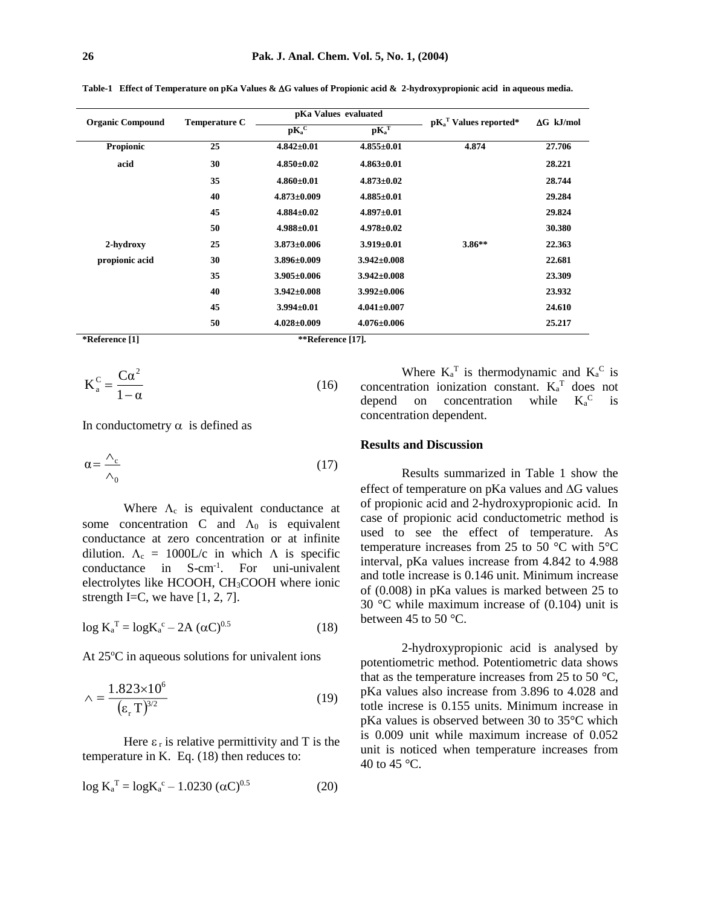| Table-1 Effect of Temperature on pKa Values & $\Delta G$ values of Propionic acid & 2-hydroxypropionic acid in aqueous media. |  |  |  |
|-------------------------------------------------------------------------------------------------------------------------------|--|--|--|
|                                                                                                                               |  |  |  |

| <b>Organic Compound</b> | <b>Temperature C</b> |                   | pKa Values evaluated | $pK_a^T$ Values reported* | $\Delta G$ kJ/mol |
|-------------------------|----------------------|-------------------|----------------------|---------------------------|-------------------|
|                         |                      | $\mathbf{pK_a^C}$ | $pK_a^T$             |                           |                   |
| Propionic               | 25                   | $4.842 \pm 0.01$  | $4.855 \pm 0.01$     | 4.874                     | 27.706            |
| acid                    | 30                   | $4.850\pm0.02$    | $4.863 \pm 0.01$     |                           | 28.221            |
|                         | 35                   | $4.860\pm0.01$    | $4.873 \pm 0.02$     |                           | 28.744            |
|                         | 40                   | $4.873 \pm 0.009$ | $4.885 \pm 0.01$     |                           | 29.284            |
|                         | 45                   | $4.884 \pm 0.02$  | $4.897 \pm 0.01$     |                           | 29.824            |
|                         | 50                   | $4.988 \pm 0.01$  | $4.978 \pm 0.02$     |                           | 30.380            |
| 2-hydroxy               | 25                   | $3.873 \pm 0.006$ | $3.919\pm0.01$       | $3.86**$                  | 22.363            |
| propionic acid          | 30                   | $3.896 \pm 0.009$ | $3.942 \pm 0.008$    |                           | 22.681            |
|                         | 35                   | $3.905 \pm 0.006$ | $3.942 \pm 0.008$    |                           | 23.309            |
|                         | 40                   | $3.942 \pm 0.008$ | $3.992 \pm 0.006$    |                           | 23.932            |
|                         | 45                   | $3.994 \pm 0.01$  | $4.041 \pm 0.007$    |                           | 24.610            |
|                         | 50                   | $4.028 \pm 0.009$ | $4.076 \pm 0.006$    |                           | 25.217            |

**\*Reference [1] \*\*Reference [17].**

$$
K_a^c = \frac{C\alpha^2}{1-\alpha} \tag{16}
$$

In conductometry  $\alpha$  is defined as

$$
\alpha = \frac{\Lambda_c}{\Lambda_0} \tag{17}
$$

Where  $\Lambda_c$  is equivalent conductance at some concentration C and  $\Lambda_0$  is equivalent conductance at zero concentration or at infinite dilution.  $\Lambda_c = 1000L/c$  in which  $\Lambda$  is specific conductance in S-cm-1 . For uni-univalent electrolytes like HCOOH, CH3COOH where ionic strength I=C, we have  $[1, 2, 7]$ .

$$
\log K_a^{\text{T}} = \log K_a^{\text{c}} - 2A \ (\alpha C)^{0.5} \tag{18}
$$

At  $25^{\circ}$ C in aqueous solutions for univalent ions

$$
\wedge = \frac{1.823 \times 10^6}{\left(\varepsilon_r \, \text{T}\right)^{3/2}}\tag{19}
$$

Here  $\varepsilon_r$  is relative permittivity and T is the temperature in K. Eq. (18) then reduces to:

$$
\log K_a^{\text{T}} = \log K_a^{\text{c}} - 1.0230 \, (\alpha C)^{0.5} \tag{20}
$$

Where  $K_a^T$  is thermodynamic and  $K_a^C$  is concentration ionization constant.  $K_a^T$  does not depend on concentration while  $K_a^C$ is concentration dependent.

#### **Results and Discussion**

Results summarized in Table 1 show the effect of temperature on pKa values and  $\Delta G$  values of propionic acid and 2-hydroxypropionic acid. In case of propionic acid conductometric method is used to see the effect of temperature. As temperature increases from 25 to 50 °C with 5°C interval, pKa values increase from 4.842 to 4.988 and totle increase is 0.146 unit. Minimum increase of (0.008) in pKa values is marked between 25 to 30 °C while maximum increase of (0.104) unit is between 45 to 50 °C.

2-hydroxypropionic acid is analysed by potentiometric method. Potentiometric data shows that as the temperature increases from 25 to 50  $^{\circ}$ C, pKa values also increase from 3.896 to 4.028 and totle increse is 0.155 units. Minimum increase in pKa values is observed between 30 to 35°C which is 0.009 unit while maximum increase of 0.052 unit is noticed when temperature increases from 40 to 45 °C.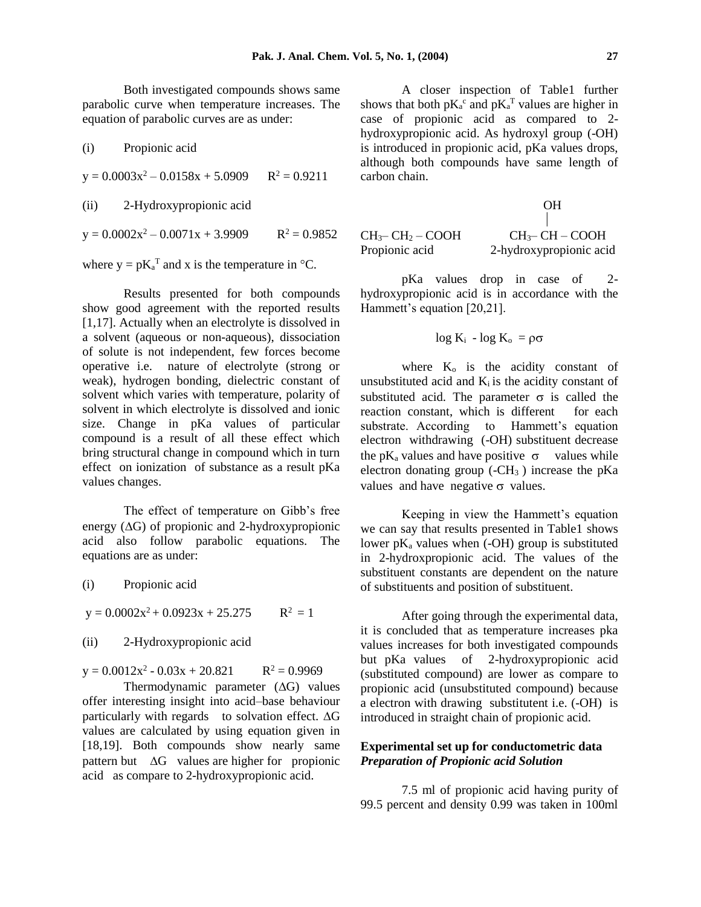Both investigated compounds shows same parabolic curve when temperature increases. The equation of parabolic curves are as under:

(i) Propionic acid  $y = 0.0003x^2 - 0.0158x + 5.0909$   $R^2 = 0.9211$ (ii) 2-Hydroxypropionic acid  $y = 0.0002x^2 - 0.0071x + 3.9909$   $R^2 = 0.9852$ 

where  $y = pK_a^T$  and x is the temperature in  $\mathrm{C}$ .

Results presented for both compounds show good agreement with the reported results [1,17]. Actually when an electrolyte is dissolved in a solvent (aqueous or non-aqueous), dissociation of solute is not independent, few forces become operative i.e. nature of electrolyte (strong or weak), hydrogen bonding, dielectric constant of solvent which varies with temperature, polarity of solvent in which electrolyte is dissolved and ionic size. Change in pKa values of particular compound is a result of all these effect which bring structural change in compound which in turn effect on ionization of substance as a result pKa values changes.

The effect of temperature on Gibb's free energy  $(\Delta G)$  of propionic and 2-hydroxypropionic acid also follow parabolic equations. The equations are as under:

| (i) |  | Propionic acid |
|-----|--|----------------|
|     |  |                |

 $y = 0.0002x^2 + 0.0923x + 25.275$   $R^2 = 1$ 

## (ii) 2-Hydroxypropionic acid

 $y = 0.0012x^2 - 0.03x + 20.821$   $R^2 = 0.9969$ 

Thermodynamic parameter  $(\Delta G)$  values offer interesting insight into acid–base behaviour particularly with regards to solvation effect.  $\Delta G$ values are calculated by using equation given in [18,19]. Both compounds show nearly same pattern but  $\Delta G$  values are higher for propionic acid as compare to 2-hydroxypropionic acid.

A closer inspection of Table1 further shows that both  $pK_a^c$  and  $pK_a^T$  values are higher in case of propionic acid as compared to 2 hydroxypropionic acid. As hydroxyl group (-OH) is introduced in propionic acid, pKa values drops, although both compounds have same length of carbon chain.

OH

the contract of the contract of the contract of  $CH<sub>3</sub>– CH<sub>2</sub> – COOH$   $CH<sub>3</sub>– CH – COOH$ Propionic acid 2-hydroxypropionic acid

pKa values drop in case of 2 hydroxypropionic acid is in accordance with the Hammett's equation [20,21].

$$
\log K_i - \log K_o = \rho \sigma
$$

where  $K_0$  is the acidity constant of unsubstituted acid and  $K_i$  is the acidity constant of substituted acid. The parameter  $\sigma$  is called the reaction constant, which is different for each substrate. According to Hammett's equation electron withdrawing (-OH) substituent decrease the pK<sub>a</sub> values and have positive  $\sigma$  values while electron donating group  $(-CH_3)$  increase the pKa values and have negative  $\sigma$  values.

Keeping in view the Hammett's equation we can say that results presented in Table1 shows lower  $pK_a$  values when  $(-OH)$  group is substituted in 2-hydroxpropionic acid. The values of the substituent constants are dependent on the nature of substituents and position of substituent.

 After going through the experimental data, it is concluded that as temperature increases pka values increases for both investigated compounds but pKa values of 2-hydroxypropionic acid (substituted compound) are lower as compare to propionic acid (unsubstituted compound) because a electron with drawing substitutent i.e. (-OH) is introduced in straight chain of propionic acid.

## **Experimental set up for conductometric data**  *Preparation of Propionic acid Solution*

7.5 ml of propionic acid having purity of 99.5 percent and density 0.99 was taken in 100ml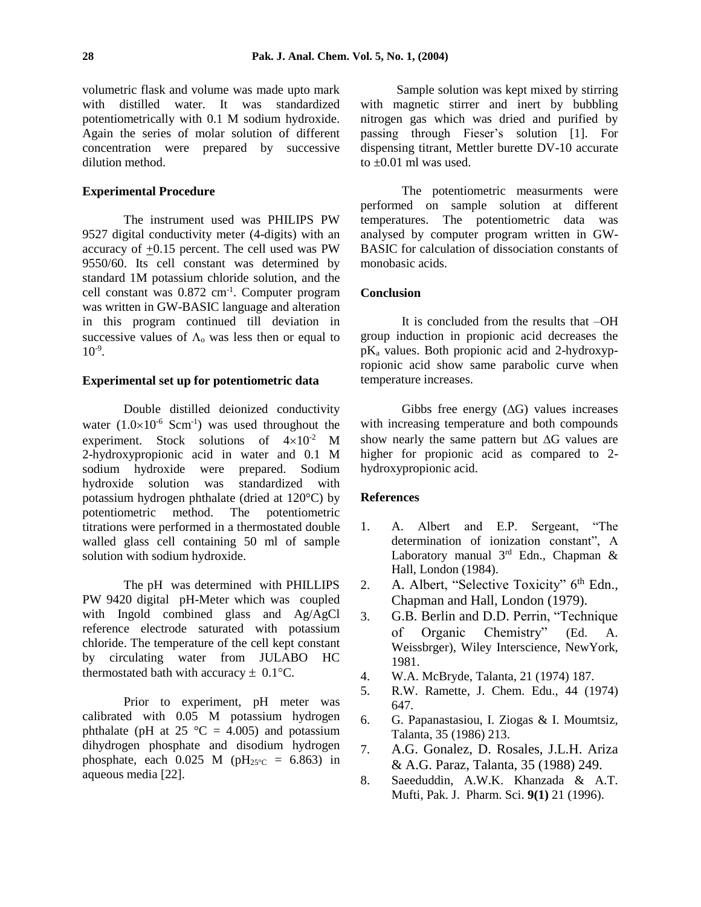volumetric flask and volume was made upto mark with distilled water. It was standardized potentiometrically with 0.1 M sodium hydroxide. Again the series of molar solution of different concentration were prepared by successive dilution method.

### **Experimental Procedure**

The instrument used was PHILIPS PW 9527 digital conductivity meter (4-digits) with an accuracy of  $\pm 0.15$  percent. The cell used was PW 9550/60. Its cell constant was determined by standard 1M potassium chloride solution, and the cell constant was 0.872 cm-1 . Computer program was written in GW-BASIC language and alteration in this program continued till deviation in successive values of  $\Lambda_0$  was less then or equal to  $10^{-9}$ .

#### **Experimental set up for potentiometric data**

Double distilled deionized conductivity water  $(1.0\times10^{-6} \text{ Scm}^{-1})$  was used throughout the experiment. Stock solutions of  $4\times10^{-2}$  M 2-hydroxypropionic acid in water and 0.1 M sodium hydroxide were prepared. Sodium hydroxide solution was standardized with potassium hydrogen phthalate (dried at 120°C) by potentiometric method. The potentiometric titrations were performed in a thermostated double walled glass cell containing 50 ml of sample solution with sodium hydroxide.

The pH was determined with PHILLIPS PW 9420 digital pH-Meter which was coupled with Ingold combined glass and Ag/AgCl reference electrode saturated with potassium chloride. The temperature of the cell kept constant by circulating water from JULABO HC thermostated bath with accuracy  $\pm$  0.1°C.

Prior to experiment, pH meter was calibrated with 0.05 M potassium hydrogen phthalate (pH at 25  $^{\circ}$ C = 4.005) and potassium dihydrogen phosphate and disodium hydrogen phosphate, each  $0.025$  M (pH<sub>25°C</sub> = 6.863) in aqueous media [22].

Sample solution was kept mixed by stirring with magnetic stirrer and inert by bubbling nitrogen gas which was dried and purified by passing through Fieser's solution [1]. For dispensing titrant, Mettler burette DV-10 accurate to  $\pm 0.01$  ml was used.

The potentiometric measurments were performed on sample solution at different temperatures. The potentiometric data was analysed by computer program written in GW-BASIC for calculation of dissociation constants of monobasic acids.

## **Conclusion**

It is concluded from the results that –OH group induction in propionic acid decreases the pK<sup>a</sup> values. Both propionic acid and 2-hydroxypropionic acid show same parabolic curve when temperature increases.

Gibbs free energy  $(\Delta G)$  values increases with increasing temperature and both compounds show nearly the same pattern but  $\Delta G$  values are higher for propionic acid as compared to 2 hydroxypropionic acid.

## **References**

- 1. A. Albert and E.P. Sergeant, "The determination of ionization constant", A Laboratory manual  $3<sup>rd</sup>$  Edn., Chapman & Hall, London (1984).
- 2. A. Albert, "Selective Toxicity" 6<sup>th</sup> Edn., Chapman and Hall, London (1979).
- 3. G.B. Berlin and D.D. Perrin, "Technique of Organic Chemistry" (Ed. A. Weissbrger), Wiley Interscience, NewYork, 1981.
- 4. W.A. McBryde, Talanta, 21 (1974) 187.
- 5. R.W. Ramette, J. Chem. Edu., 44 (1974) 647.
- 6. G. Papanastasiou, I. Ziogas & I. Moumtsiz, Talanta, 35 (1986) 213.
- 7. A.G. Gonalez, D. Rosales, J.L.H. Ariza & A.G. Paraz, Talanta, 35 (1988) 249.
- 8. Saeeduddin, A.W.K. Khanzada & A.T. Mufti, Pak. J. Pharm. Sci. **9(1)** 21 (1996).